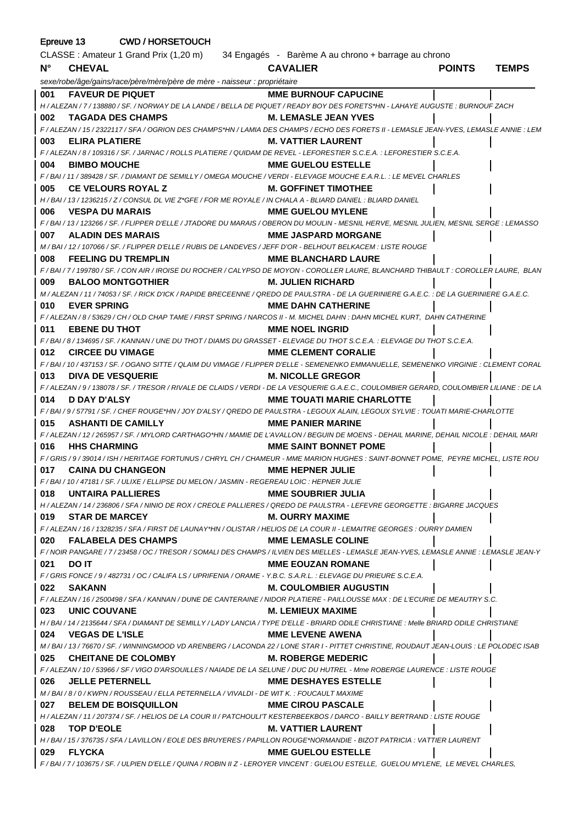| Epreuve 13  | <b>CWD / HORSETOUCH</b>                                                                                                                                             |                                   |               |              |
|-------------|---------------------------------------------------------------------------------------------------------------------------------------------------------------------|-----------------------------------|---------------|--------------|
|             | CLASSE : Amateur 1 Grand Prix (1,20 m) 34 Engagés - Barème A au chrono + barrage au chrono                                                                          |                                   |               |              |
| $N^{\circ}$ | <b>CHEVAL</b>                                                                                                                                                       | <b>CAVALIER</b>                   | <b>POINTS</b> | <b>TEMPS</b> |
|             | sexe/robe/âge/gains/race/père/mère/père de mère - naisseur : propriétaire                                                                                           |                                   |               |              |
| 001         | <b>FAVEUR DE PIQUET</b>                                                                                                                                             | <b>MME BURNOUF CAPUCINE</b>       |               |              |
|             | H / ALEZAN / 7 / 138880 / SF. / NORWAY DE LA LANDE / BELLA DE PIQUET / READY BOY DES FORETS*HN - LAHAYE AUGUSTE : BURNOUF ZACH                                      |                                   |               |              |
| 002         | <b>TAGADA DES CHAMPS</b>                                                                                                                                            | <b>M. LEMASLE JEAN YVES</b>       |               |              |
|             | F / ALEZAN / 15 / 2322117 / SFA / OGRION DES CHAMPS*HN / LAMIA DES CHAMPS / ECHO DES FORETS II - LEMASLE JEAN-YVES, LEMASLE ANNIE : LEM                             |                                   |               |              |
| 003         | <b>ELIRA PLATIERE</b>                                                                                                                                               | <b>M. VATTIER LAURENT</b>         |               |              |
|             | F / ALEZAN / 8 / 109316 / SF. / JARNAC / ROLLS PLATIERE / QUIDAM DE REVEL - LEFORESTIER S.C.E.A. : LEFORESTIER S.C.E.A.                                             |                                   |               |              |
| 004         | <b>BIMBO MOUCHE</b>                                                                                                                                                 | <b>MME GUELOU ESTELLE</b>         |               |              |
|             | F / BAI / 11 / 389428 / SF. / DIAMANT DE SEMILLY / OMEGA MOUCHE / VERDI - ELEVAGE MOUCHE E.A.R.L. : LE MEVEL CHARLES                                                |                                   |               |              |
| 005         | <b>CE VELOURS ROYAL Z</b><br>H / BAI / 13 / 1236215 / Z / CONSUL DL VIE Z*GFE / FOR ME ROYALE / IN CHALA A - BLIARD DANIEL : BLIARD DANIEL                          | <b>M. GOFFINET TIMOTHEE</b>       |               |              |
| 006         | <b>VESPA DU MARAIS</b>                                                                                                                                              | <b>MME GUELOU MYLENE</b>          |               |              |
|             | F / BAI / 13 / 123266 / SF. / FLIPPER D'ELLE / JTADORE DU MARAIS / OBERON DU MOULIN - MESNIL HERVE, MESNIL JULIEN, MESNIL SERGE : LEMASSO                           |                                   |               |              |
| 007         | <b>ALADIN DES MARAIS</b>                                                                                                                                            | <b>MME JASPARD MORGANE</b>        |               |              |
|             | M / BAI / 12 / 107066 / SF. / FLIPPER D'ELLE / RUBIS DE LANDEVES / JEFF D'OR - BELHOUT BELKACEM : LISTE ROUGE                                                       |                                   |               |              |
| 008         | <b>FEELING DU TREMPLIN</b>                                                                                                                                          | <b>MME BLANCHARD LAURE</b>        |               |              |
|             | F/BAI/7/199780/SF./CON AIR/IROISE DU ROCHER/CALYPSO DE MOYON - COROLLER LAURE, BLANCHARD THIBAULT : COROLLER LAURE, BLAN                                            |                                   |               |              |
| 009         | <b>BALOO MONTGOTHIER</b>                                                                                                                                            | <b>M. JULIEN RICHARD</b>          |               |              |
|             | M / ALEZAN / 11 / 74053 / SF. / RICK D'ICK / RAPIDE BRECEENNE / QREDO DE PAULSTRA - DE LA GUERINIERE G.A.E.C. : DE LA GUERINIERE G.A.E.C.                           |                                   |               |              |
| 010         | <b>EVER SPRING</b>                                                                                                                                                  | <b>MME DAHN CATHERINE</b>         |               |              |
|             | F / ALEZAN / 8 / 53629 / CH / OLD CHAP TAME / FIRST SPRING / NARCOS II - M. MICHEL DAHN : DAHN MICHEL KURT, DAHN CATHERINE                                          |                                   |               |              |
| 011         | <b>EBENE DU THOT</b>                                                                                                                                                | <b>MME NOEL INGRID</b>            |               |              |
|             | F/BAI/8/134695/SF./KANNAN/UNE DU THOT/DIAMS DU GRASSET - ELEVAGE DU THOT S.C.E.A.: ELEVAGE DU THOT S.C.E.A.                                                         |                                   |               |              |
| 012         | <b>CIRCEE DU VIMAGE</b>                                                                                                                                             | <b>MME CLEMENT CORALIE</b>        |               |              |
| 013         | F / BAI / 10 / 437153 / SF. / OGANO SITTE / QLAIM DU VIMAGE / FLIPPER D'ELLE - SEMENENKO EMMANUELLE, SEMENENKO VIRGINIE : CLEMENT CORAL<br><b>DIVA DE VESQUERIE</b> | <b>M. NICOLLE GREGOR</b>          |               |              |
|             | F / ALEZAN / 9 / 138078 / SF. / TRESOR / RIVALE DE CLAIDS / VERDI - DE LA VESQUERIE G.A.E.C., COULOMBIER GERARD, COULOMBIER LILIANE : DE LA                         |                                   |               |              |
| 014         | D DAY D'ALSY                                                                                                                                                        | <b>MME TOUATI MARIE CHARLOTTE</b> |               |              |
|             | F/BAI/9/57791/SF./CHEF ROUGE*HN/JOY D'ALSY/QREDO DE PAULSTRA - LEGOUX ALAIN, LEGOUX SYLVIE : TOUATI MARIE-CHARLOTTE                                                 |                                   |               |              |
| 015         | <b>ASHANTI DE CAMILLY</b>                                                                                                                                           | <b>MME PANIER MARINE</b>          |               |              |
|             | F / ALEZAN / 12 / 265957 / SF. / MYLORD CARTHAGO*HN / MAMIE DE L'AVALLON / BEGUIN DE MOENS - DEHAIL MARINE, DEHAIL NICOLE : DEHAIL MARI                             |                                   |               |              |
| 016         | <b>HHS CHARMING</b>                                                                                                                                                 | <b>MME SAINT BONNET POME</b>      |               |              |
|             | F / GRIS / 9 / 39014 / ISH / HERITAGE FORTUNUS / CHRYL CH / CHAMEUR - MME MARION HUGHES : SAINT-BONNET POME. PEYRE MICHEL. LISTE ROU                                |                                   |               |              |
|             | 017 CAINA DU CHANGEON                                                                                                                                               | <b>MME HEPNER JULIE</b>           |               |              |
|             | F / BAI / 10 / 47181 / SF. / ULIXE / ELLIPSE DU MELON / JASMIN - REGEREAU LOIC : HEPNER JULIE                                                                       |                                   |               |              |
|             | 018 UNTAIRA PALLIERES                                                                                                                                               | MME SOUBRIER JULIA                |               |              |
|             | H / ALEZAN / 14 / 236806 / SFA / NINIO DE ROX / CREOLE PALLIERES / QREDO DE PAULSTRA - LEFEVRE GEORGETTE : BIGARRE JACQUES                                          |                                   |               |              |
|             | 019 STAR DE MARCEY                                                                                                                                                  | <b>M. OURRY MAXIME</b>            |               |              |
|             | F / ALEZAN / 16 / 1328235 / SFA / FIRST DE LAUNAY*HN / OLISTAR / HELIOS DE LA COUR II - LEMAITRE GEORGES : OURRY DAMIEN                                             |                                   |               |              |
|             | 020 FALABELA DES CHAMPS                                                                                                                                             | <b>MME LEMASLE COLINE</b>         |               |              |
| 021         | F / NOIR PANGARE / 7 / 23458 / OC / TRESOR / SOMALI DES CHAMPS / ILVIEN DES MIELLES - LEMASLE JEAN-YVES, LEMASLE ANNIE : LEMASLE JEAN-Y<br>DO IT                    | <b>MME EOUZAN ROMANE</b>          |               |              |
|             | F / GRIS FONCE / 9 / 482731 / OC / CALIFA LS / UPRIFENIA / ORAME - Y.B.C. S.A.R.L. : ELEVAGE DU PRIEURE S.C.E.A.                                                    |                                   |               |              |
|             | 022 SAKANN                                                                                                                                                          | <b>M. COULOMBIER AUGUSTIN</b>     |               |              |
|             | F / ALEZAN / 16 / 2500498 / SFA / KANNAN / DUNE DE CANTERAINE / NIDOR PLATIERE - PAILLOUSSE MAX : DE L'ECURIE DE MEAUTRY S.C.                                       |                                   |               |              |
|             | 023 UNIC COUVANE                                                                                                                                                    | <b>M. LEMIEUX MAXIME</b>          |               |              |
|             | H / BAI / 14 / 2135644 / SFA / DIAMANT DE SEMILLY / LADY LANCIA / TYPE D'ELLE - BRIARD ODILE CHRISTIANE : Melle BRIARD ODILE CHRISTIANE                             |                                   |               |              |
|             | 024 VEGAS DE L'ISLE                                                                                                                                                 | <b>MME LEVENE AWENA</b>           |               |              |
|             | M / BAI / 13 / 76670 / SF. / WINNINGMOOD VD ARENBERG / LACONDA 22 / LONE STAR I - PITTET CHRISTINE, ROUDAUT JEAN-LOUIS : LE POLODEC ISAB                            |                                   |               |              |
|             | 025 CHEITANE DE COLOMBY                                                                                                                                             | <b>M. ROBERGE MEDERIC</b>         |               |              |
|             | F / ALEZAN / 10 / 53966 / SF / VIGO D'ARSOUILLES / NAIADE DE LA SELUNE / DUC DU HUTREL - Mme ROBERGE LAURENCE : LISTE ROUGE                                         |                                   |               |              |
|             | 026 JELLE PETERNELL                                                                                                                                                 | <b>MME DESHAYES ESTELLE</b>       |               |              |
|             | M / BAI / 8 / 0 / KWPN / ROUSSEAU / ELLA PETERNELLA / VIVALDI - DE WIT K. : FOUCAULT MAXIME                                                                         |                                   |               |              |
|             | 027 BELEM DE BOISQUILLON                                                                                                                                            | <b>MME CIROU PASCALE</b>          |               |              |
|             | H / ALEZAN / 11 / 207374 / SF. / HELIOS DE LA COUR II / PATCHOULI'T KESTERBEEKBOS / DARCO - BAILLY BERTRAND : LISTE ROUGE                                           |                                   |               |              |
|             | 028 TOP D'EOLE<br>H / BAI / 15 / 376735 / SFA / LAVILLON / EOLE DES BRUYERES / PAPILLON ROUGE*NORMANDIE - BIZOT PATRICIA : VATTIER LAURENT                          | <b>M. VATTIER LAURENT</b>         |               |              |
|             | 029 FLYCKA                                                                                                                                                          | <b>MME GUELOU ESTELLE</b>         |               |              |
|             | F/BAI/7/103675/SF./ULPIEN D'ELLE/QUINA/ROBIN II Z - LEROYER VINCENT : GUELOU ESTELLE, GUELOU MYLENE, LE MEVEL CHARLES,                                              |                                   |               |              |